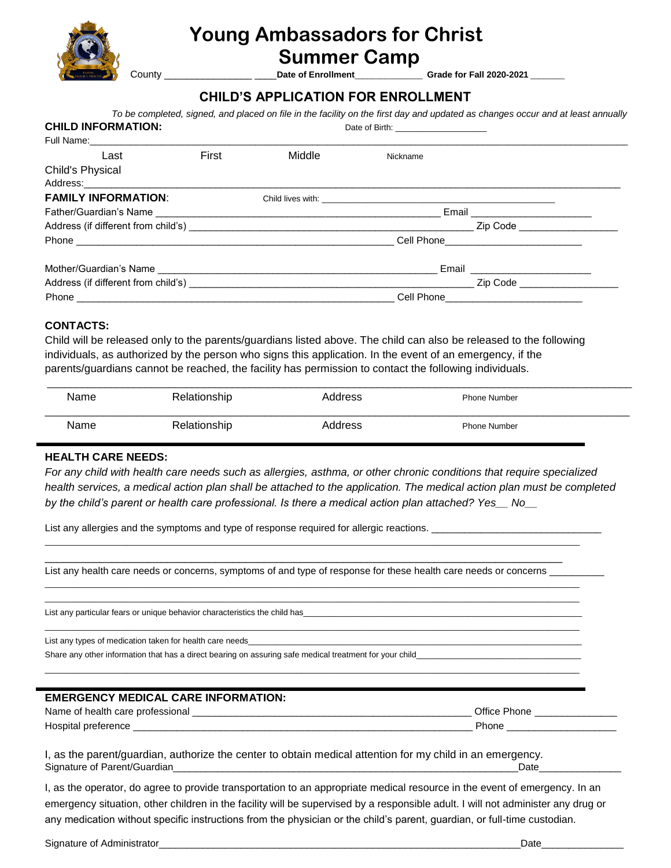

## **Young Ambassadors for Christ Summer Camp**

County \_\_\_\_\_\_\_\_\_\_\_\_\_\_\_\_ \_\_\_\_**Date of Enrollment**\_\_\_\_\_\_\_\_\_\_\_\_\_\_\_\_ **Grade for Fall 2020-2021** \_\_\_\_\_\_\_\_

### **CHILD'S APPLICATION FOR ENROLLMENT**

| <b>CHILD INFORMATION:</b>  | To be completed, signed, and placed on file in the facility on the first day and updated as changes occur and at least annually |        |          |                                           |
|----------------------------|---------------------------------------------------------------------------------------------------------------------------------|--------|----------|-------------------------------------------|
|                            |                                                                                                                                 |        |          |                                           |
| Last                       | First                                                                                                                           | Middle | Nickname |                                           |
| Child's Physical           |                                                                                                                                 |        |          |                                           |
|                            |                                                                                                                                 |        |          |                                           |
| <b>FAMILY INFORMATION:</b> |                                                                                                                                 |        |          |                                           |
|                            |                                                                                                                                 |        |          | Email ________________________            |
|                            |                                                                                                                                 |        |          |                                           |
|                            |                                                                                                                                 |        |          |                                           |
|                            |                                                                                                                                 |        |          |                                           |
|                            |                                                                                                                                 |        |          |                                           |
|                            |                                                                                                                                 |        |          | Cell Phone_______________________________ |

#### **CONTACTS:**

Child will be released only to the parents/guardians listed above. The child can also be released to the following individuals, as authorized by the person who signs this application. In the event of an emergency, if the parents/guardians cannot be reached, the facility has permission to contact the following individuals.

| Name | Relationship | Address | <b>Phone Number</b> |  |
|------|--------------|---------|---------------------|--|
| Name | Relationship | Address | <b>Phone Number</b> |  |

#### **HEALTH CARE NEEDS:**

*For any child with health care needs such as allergies, asthma, or other chronic conditions that require specialized*  health services, a medical action plan shall be attached to the application. The medical action plan must be completed *by the child's parent or health care professional. Is there a medical action plan attached? Yes\_\_ No\_\_*

List any allergies and the symptoms and type of response required for allergic reactions.

\_\_\_\_\_\_\_\_\_\_\_\_\_\_\_\_\_\_\_\_\_\_\_\_\_\_\_\_\_\_\_\_\_\_\_\_\_\_\_\_\_\_\_\_\_\_\_\_\_\_\_\_\_\_\_\_\_\_\_\_\_\_\_\_\_\_\_\_\_\_\_\_\_\_\_\_\_\_\_\_\_\_\_\_\_ List any health care needs or concerns, symptoms of and type of response for these health care needs or concerns \_\_\_\_

\_\_\_\_\_\_\_\_\_\_\_\_\_\_\_\_\_\_\_\_\_\_\_\_\_\_\_\_\_\_\_\_\_\_\_\_\_\_\_\_\_\_\_\_\_\_\_\_\_\_\_\_\_\_\_\_\_\_\_\_\_\_\_\_\_\_\_\_\_\_\_\_\_\_\_\_\_\_\_\_\_\_\_\_\_\_\_\_\_\_\_\_\_\_\_\_\_\_\_\_\_\_\_\_\_\_\_\_\_\_\_\_\_\_\_\_\_

\_\_\_\_\_\_\_\_\_\_\_\_\_\_\_\_\_\_\_\_\_\_\_\_\_\_\_\_\_\_\_\_\_\_\_\_\_\_\_\_\_\_\_\_\_\_\_\_\_\_\_\_\_\_\_\_\_\_\_\_\_\_\_\_\_\_\_\_\_\_\_\_\_\_\_\_\_\_\_\_\_\_\_\_\_\_\_\_\_\_\_\_\_\_\_\_\_\_\_\_\_\_\_\_\_\_\_\_\_\_\_\_\_\_\_\_\_ \_\_\_\_\_\_\_\_\_\_\_\_\_\_\_\_\_\_\_\_\_\_\_\_\_\_\_\_\_\_\_\_\_\_\_\_\_\_\_\_\_\_\_\_\_\_\_\_\_\_\_\_\_\_\_\_\_\_\_\_\_\_\_\_\_\_\_\_\_\_\_\_\_\_\_\_\_\_\_\_\_\_\_\_\_\_\_\_\_\_\_\_\_\_\_\_\_\_\_\_\_\_\_\_\_\_\_\_\_\_\_\_\_\_\_\_\_

\_\_\_\_\_\_\_\_\_\_\_\_\_\_\_\_\_\_\_\_\_\_\_\_\_\_\_\_\_\_\_\_\_\_\_\_\_\_\_\_\_\_\_\_\_\_\_\_\_\_\_\_\_\_\_\_\_\_\_\_\_\_\_\_\_\_\_\_\_\_\_\_\_\_\_\_\_\_\_\_\_\_\_\_\_\_\_\_\_\_\_\_\_\_\_\_\_\_\_\_\_\_\_\_\_\_\_\_\_\_\_\_\_\_\_\_\_

\_\_\_\_\_\_\_\_\_\_\_\_\_\_\_\_\_\_\_\_\_\_\_\_\_\_\_\_\_\_\_\_\_\_\_\_\_\_\_\_\_\_\_\_\_\_\_\_\_\_\_\_\_\_\_\_\_\_\_\_\_\_\_\_\_\_\_\_\_\_\_\_\_\_\_\_\_\_\_\_\_\_\_\_\_\_\_\_\_\_\_\_\_\_\_\_\_\_\_\_\_\_\_\_\_\_\_\_\_\_\_\_\_\_\_\_\_

List any particular fears or unique behavior characteristics the child has

List any types of medication taken for health care needs

Share any other information that has a direct bearing on assuring safe medical treatment for your child

| <b>EMERGENCY MEDICAL CARE INFORMATION:</b> |              |
|--------------------------------------------|--------------|
| Name of health care professional           | Office Phone |
| Hospital preference                        | Phone        |

I, as the parent/guardian, authorize the center to obtain medical attention for my child in an emergency. Signature of Parent/Guardian etc. And the state of Parent/Guardian etc. And the state of Parent/Guardian etc. A

I, as the operator, do agree to provide transportation to an appropriate medical resource in the event of emergency. In an emergency situation, other children in the facility will be supervised by a responsible adult. I will not administer any drug or any medication without specific instructions from the physician or the child's parent, guardian, or full-time custodian.

Signature of Administrator\_\_\_\_\_\_\_\_\_\_\_\_\_\_\_\_\_\_\_\_\_\_\_\_\_\_\_\_\_\_\_\_\_\_\_\_\_\_\_\_\_\_\_\_\_\_\_\_\_\_\_\_\_\_\_\_\_\_\_\_\_\_\_\_\_\_Date\_\_\_\_\_\_\_\_\_\_\_\_\_\_\_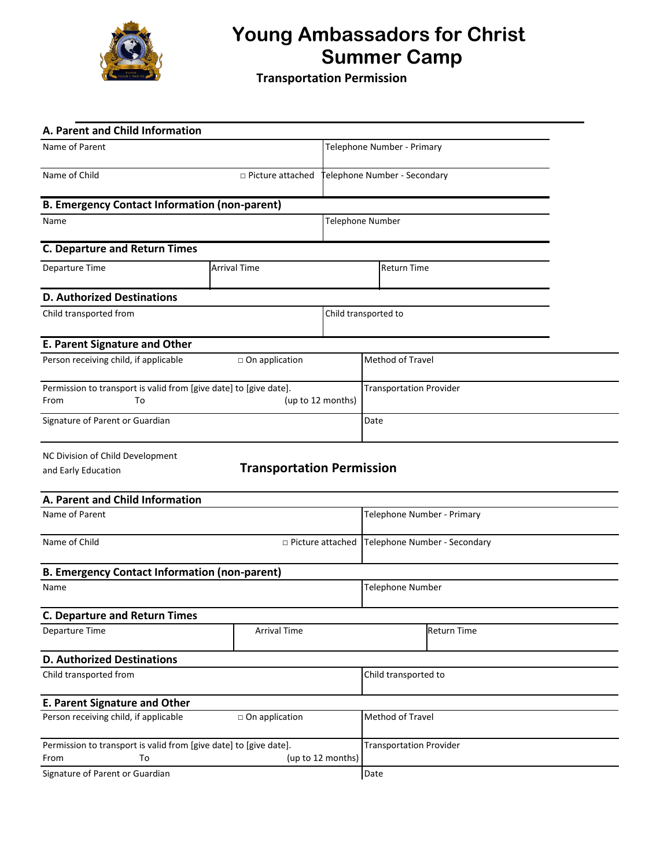

## **Young Ambassadors for Christ 1986 Summer Camp**

**Transportation Permission**

| A. Parent and Child Information                                                                      |                                  |                      |                                |  |  |
|------------------------------------------------------------------------------------------------------|----------------------------------|----------------------|--------------------------------|--|--|
| Name of Parent                                                                                       |                                  |                      | Telephone Number - Primary     |  |  |
| Name of Child<br>$\Box$ Picture attached                                                             |                                  |                      | elephone Number - Secondary    |  |  |
| <b>B. Emergency Contact Information (non-parent)</b>                                                 |                                  |                      |                                |  |  |
| Name                                                                                                 |                                  | Telephone Number     |                                |  |  |
| <b>C. Departure and Return Times</b>                                                                 |                                  |                      |                                |  |  |
| Departure Time                                                                                       | <b>Arrival Time</b>              |                      | <b>Return Time</b>             |  |  |
| <b>D. Authorized Destinations</b>                                                                    |                                  |                      |                                |  |  |
| Child transported from                                                                               |                                  |                      | Child transported to           |  |  |
| <b>E. Parent Signature and Other</b>                                                                 |                                  |                      |                                |  |  |
| Person receiving child, if applicable                                                                | $\Box$ On application            |                      | Method of Travel               |  |  |
| Permission to transport is valid from [give date] to [give date].<br>(up to 12 months)<br>From<br>To |                                  |                      | <b>Transportation Provider</b> |  |  |
| Signature of Parent or Guardian                                                                      |                                  |                      | Date                           |  |  |
| NC Division of Child Development<br>and Early Education                                              | <b>Transportation Permission</b> |                      |                                |  |  |
| A. Parent and Child Information                                                                      |                                  |                      |                                |  |  |
| Name of Parent                                                                                       |                                  |                      | Telephone Number - Primary     |  |  |
| Name of Child                                                                                        | $\Box$ Picture attached          |                      | Telephone Number - Secondary   |  |  |
| <b>B. Emergency Contact Information (non-parent)</b>                                                 |                                  |                      |                                |  |  |
| Name                                                                                                 |                                  |                      | <b>Telephone Number</b>        |  |  |
| <b>C. Departure and Return Times</b>                                                                 |                                  |                      |                                |  |  |
| Departure Time                                                                                       | <b>Arrival Time</b>              |                      | <b>Return Time</b>             |  |  |
| <b>D. Authorized Destinations</b>                                                                    |                                  |                      |                                |  |  |
| Child transported from                                                                               |                                  | Child transported to |                                |  |  |
| <b>E. Parent Signature and Other</b>                                                                 |                                  |                      |                                |  |  |
| Person receiving child, if applicable                                                                | on application                   |                      | Method of Travel               |  |  |
| Permission to transport is valid from [give date] to [give date].<br>To<br>(up to 12 months)<br>From |                                  |                      | <b>Transportation Provider</b> |  |  |
| Signature of Parent or Guardian                                                                      |                                  | Date                 |                                |  |  |